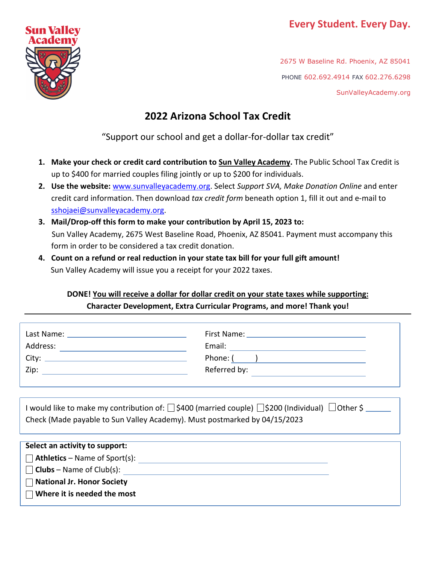# **Every Student. Every Day.**



2675 W Baseline Rd. Phoenix, AZ 85041 PHONE 602.692.4914 FAX 602.276.6298 SunValleyAcademy.org

# **2022 Arizona School Tax Credit**

"Support our school and get a dollar-for-dollar tax credit"

- **1. Make your check or credit card contribution to Sun Valley Academy.** The Public School Tax Credit is up to \$400 for married couples filing jointly or up to \$200 for individuals.
- **2. Use the website:** [www.sunvalleyacademy.org.](http://www.sunvalleyacademy.org/) Select *Support SVA, Make Donation Online* and enter credit card information. Then download *tax credit form* beneath option 1, fill it out and e-mail to [sshojaei@sunvalleyacademy.org.](mailto:sshojaei@sunvalleyacademy.org)
- **3. Mail/Drop-off this form to make your contribution by April 15, 2023 to:** Sun Valley Academy, 2675 West Baseline Road, Phoenix, AZ 85041. Payment must accompany this form in order to be considered a tax credit donation.
- **4. Count on a refund or real reduction in your state tax bill for your full gift amount!** Sun Valley Academy will issue you a receipt for your 2022 taxes.

## **DONE! You will receive a dollar for dollar credit on your state taxes while supporting: Character Development, Extra Curricular Programs, and more! Thank you!**

| Last Name: | First Name:  |
|------------|--------------|
| Address:   | Email:       |
| City:      | Phone: (     |
| Zip:       | Referred by: |
|            |              |

| I would like to make my contribution of: $\Box$ \$400 (married couple) $\Box$ \$200 (Individual) $\Box$ Other \$ |  |
|------------------------------------------------------------------------------------------------------------------|--|
| Check (Made payable to Sun Valley Academy). Must postmarked by 04/15/2023                                        |  |

| Select an activity to support:       |  |
|--------------------------------------|--|
| <b>Athletics</b> – Name of Sport(s): |  |
| $\Box$ Clubs – Name of Club(s):      |  |
| <b>National Jr. Honor Society</b>    |  |
| Where it is needed the most          |  |
|                                      |  |